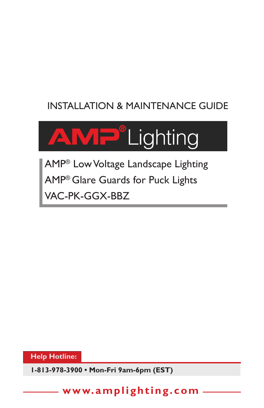# INSTALLATION & MAINTENANCE GUIDE



AMP® Low Voltage Landscape Lighting AMP® Glare Guards for Puck Lights VAC-PK-GGX-BBZ

**Help Hotline:** 

**1-813-978-3900 • Mon-Fri 9am-6pm (EST)**

**www.amplighting.com**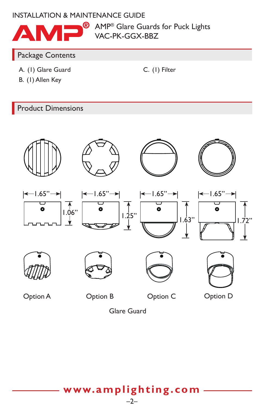### INSTALLATION & MAINTENANCE GUIDE



**B** AMP<sup>®</sup> Glare Guards for Puck Lights VAC-PK-GGX-BBZ

C. (1) Filter

#### Package Contents

- A. (1) Glare Guard
- B. (1) Allen Key

Product Dimensions



Glare Guard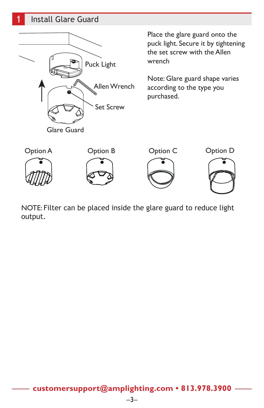## **1** Install Glare Guard



NOTE: Filter can be placed inside the glare guard to reduce light output.